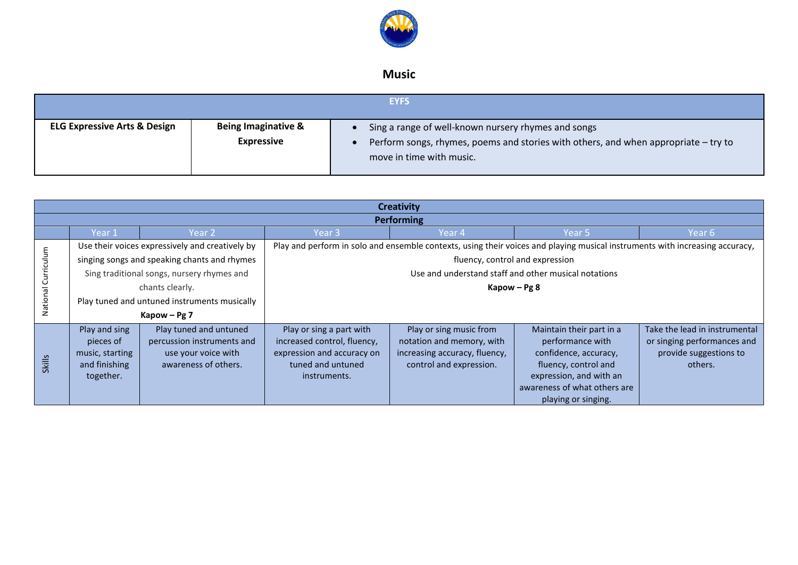

## **Music**

|                                         |                                                     | <b>EYFS</b>                                                                                                                                                            |
|-----------------------------------------|-----------------------------------------------------|------------------------------------------------------------------------------------------------------------------------------------------------------------------------|
| <b>ELG Expressive Arts &amp; Design</b> | <b>Being Imaginative &amp;</b><br><b>Expressive</b> | Sing a range of well-known nursery rhymes and songs<br>Perform songs, rhymes, poems and stories with others, and when appropriate - try to<br>move in time with music. |

|                 | <b>Creativity</b>                            |                                                 |                                                           |                                                                                                                              |                                                      |                                   |  |  |
|-----------------|----------------------------------------------|-------------------------------------------------|-----------------------------------------------------------|------------------------------------------------------------------------------------------------------------------------------|------------------------------------------------------|-----------------------------------|--|--|
|                 |                                              |                                                 |                                                           | <b>Performing</b>                                                                                                            |                                                      |                                   |  |  |
|                 | Year 1                                       | Year 2                                          | Year 3                                                    | Year 4                                                                                                                       | Year 5                                               | Year 6                            |  |  |
|                 |                                              | Use their voices expressively and creatively by |                                                           | Play and perform in solo and ensemble contexts, using their voices and playing musical instruments with increasing accuracy, |                                                      |                                   |  |  |
|                 |                                              | singing songs and speaking chants and rhymes    | fluency, control and expression                           |                                                                                                                              |                                                      |                                   |  |  |
| Curriculu       |                                              | Sing traditional songs, nursery rhymes and      |                                                           |                                                                                                                              | Use and understand staff and other musical notations |                                   |  |  |
| chants clearly. |                                              |                                                 | Kapow – $Pg8$                                             |                                                                                                                              |                                                      |                                   |  |  |
| Nationa         | Play tuned and untuned instruments musically |                                                 |                                                           |                                                                                                                              |                                                      |                                   |  |  |
|                 |                                              | Kapow - Pg 7                                    |                                                           |                                                                                                                              |                                                      |                                   |  |  |
|                 | Play and sing                                | Play tuned and untuned                          | Play or sing a part with                                  | Play or sing music from                                                                                                      | Maintain their part in a                             | Take the lead in instrumental     |  |  |
|                 | pieces of                                    | percussion instruments and                      | increased control, fluency,<br>expression and accuracy on | notation and memory, with<br>increasing accuracy, fluency,                                                                   | performance with                                     | or singing performances and       |  |  |
| <b>Skills</b>   | music, starting<br>and finishing             | use your voice with<br>awareness of others.     | tuned and untuned                                         | control and expression.                                                                                                      | confidence, accuracy,<br>fluency, control and        | provide suggestions to<br>others. |  |  |
|                 | together.                                    |                                                 | instruments.                                              |                                                                                                                              | expression, and with an                              |                                   |  |  |
|                 |                                              |                                                 |                                                           |                                                                                                                              | awareness of what others are                         |                                   |  |  |
|                 |                                              |                                                 |                                                           |                                                                                                                              | playing or singing.                                  |                                   |  |  |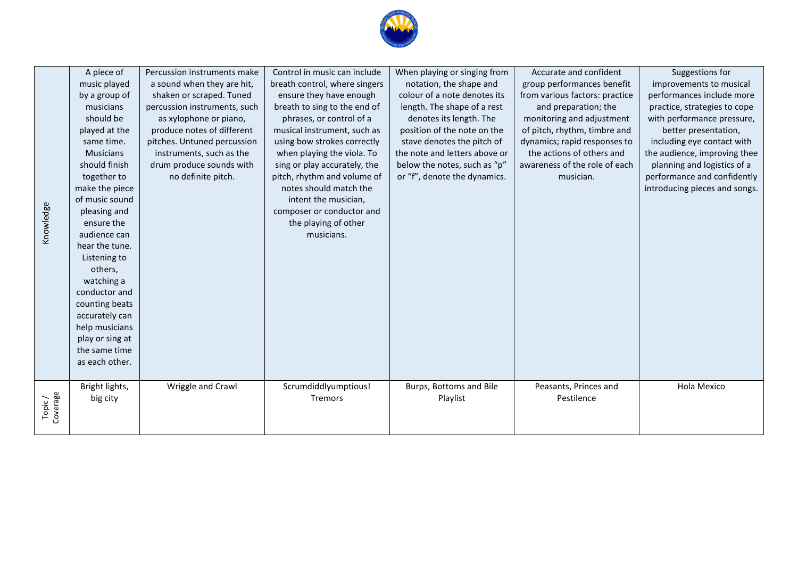

| Knowledge          | A piece of<br>music played<br>by a group of<br>musicians<br>should be<br>played at the<br>same time.<br><b>Musicians</b><br>should finish<br>together to<br>make the piece<br>of music sound<br>pleasing and<br>ensure the<br>audience can<br>hear the tune.<br>Listening to<br>others,<br>watching a<br>conductor and<br>counting beats<br>accurately can<br>help musicians<br>play or sing at<br>the same time<br>as each other. | Percussion instruments make<br>a sound when they are hit,<br>shaken or scraped. Tuned<br>percussion instruments, such<br>as xylophone or piano,<br>produce notes of different<br>pitches. Untuned percussion<br>instruments, such as the<br>drum produce sounds with<br>no definite pitch. | Control in music can include<br>breath control, where singers<br>ensure they have enough<br>breath to sing to the end of<br>phrases, or control of a<br>musical instrument, such as<br>using bow strokes correctly<br>when playing the viola. To<br>sing or play accurately, the<br>pitch, rhythm and volume of<br>notes should match the<br>intent the musician,<br>composer or conductor and<br>the playing of other<br>musicians. | When playing or singing from<br>notation, the shape and<br>colour of a note denotes its<br>length. The shape of a rest<br>denotes its length. The<br>position of the note on the<br>stave denotes the pitch of<br>the note and letters above or<br>below the notes, such as "p"<br>or "f", denote the dynamics. | Accurate and confident<br>group performances benefit<br>from various factors: practice<br>and preparation; the<br>monitoring and adjustment<br>of pitch, rhythm, timbre and<br>dynamics; rapid responses to<br>the actions of others and<br>awareness of the role of each<br>musician. | Suggestions for<br>improvements to musical<br>performances include more<br>practice, strategies to cope<br>with performance pressure,<br>better presentation,<br>including eye contact with<br>the audience, improving thee<br>planning and logistics of a<br>performance and confidently<br>introducing pieces and songs. |
|--------------------|------------------------------------------------------------------------------------------------------------------------------------------------------------------------------------------------------------------------------------------------------------------------------------------------------------------------------------------------------------------------------------------------------------------------------------|--------------------------------------------------------------------------------------------------------------------------------------------------------------------------------------------------------------------------------------------------------------------------------------------|--------------------------------------------------------------------------------------------------------------------------------------------------------------------------------------------------------------------------------------------------------------------------------------------------------------------------------------------------------------------------------------------------------------------------------------|-----------------------------------------------------------------------------------------------------------------------------------------------------------------------------------------------------------------------------------------------------------------------------------------------------------------|----------------------------------------------------------------------------------------------------------------------------------------------------------------------------------------------------------------------------------------------------------------------------------------|----------------------------------------------------------------------------------------------------------------------------------------------------------------------------------------------------------------------------------------------------------------------------------------------------------------------------|
| Topic/<br>Coverage | Bright lights,<br>big city                                                                                                                                                                                                                                                                                                                                                                                                         | Wriggle and Crawl                                                                                                                                                                                                                                                                          | Scrumdiddlyumptious!<br><b>Tremors</b>                                                                                                                                                                                                                                                                                                                                                                                               | Burps, Bottoms and Bile<br>Playlist                                                                                                                                                                                                                                                                             | Peasants, Princes and<br>Pestilence                                                                                                                                                                                                                                                    | Hola Mexico                                                                                                                                                                                                                                                                                                                |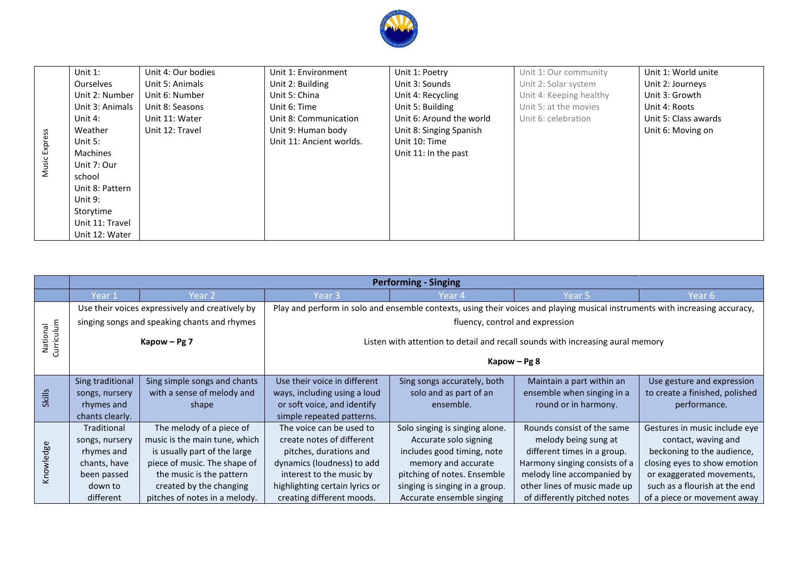

|               | Unit $1$ :       | Unit 4: Our bodies | Unit 1: Environment      | Unit 1: Poetry           | Unit 1: Our community   | Unit 1: World unite  |
|---------------|------------------|--------------------|--------------------------|--------------------------|-------------------------|----------------------|
|               | <b>Ourselves</b> | Unit 5: Animals    | Unit 2: Building         | Unit 3: Sounds           | Unit 2: Solar system    | Unit 2: Journeys     |
|               | Unit 2: Number   | Unit 6: Number     | Unit 5: China            | Unit 4: Recycling        | Unit 4: Keeping healthy | Unit 3: Growth       |
|               | Unit 3: Animals  | Unit 8: Seasons    | Unit 6: Time             | Unit 5: Building         | Unit 5: at the movies   | Unit 4: Roots        |
|               | Unit 4:          | Unit 11: Water     | Unit 8: Communication    | Unit 6: Around the world | Unit 6: celebration     | Unit 5: Class awards |
|               | Weather          | Unit 12: Travel    | Unit 9: Human body       | Unit 8: Singing Spanish  |                         | Unit 6: Moving on    |
|               | Unit 5:          |                    | Unit 11: Ancient worlds. | Unit 10: Time            |                         |                      |
|               | <b>Machines</b>  |                    |                          | Unit 11: In the past     |                         |                      |
| Music Express | Unit 7: Our      |                    |                          |                          |                         |                      |
|               | school           |                    |                          |                          |                         |                      |
|               | Unit 8: Pattern  |                    |                          |                          |                         |                      |
|               | Unit 9:          |                    |                          |                          |                         |                      |
|               | Storytime        |                    |                          |                          |                         |                      |
|               | Unit 11: Travel  |                    |                          |                          |                         |                      |
|               | Unit 12: Water   |                    |                          |                          |                         |                      |

|                        | <b>Performing - Singing</b> |                                                 |                                |                                |                                                                                                                              |                                |  |
|------------------------|-----------------------------|-------------------------------------------------|--------------------------------|--------------------------------|------------------------------------------------------------------------------------------------------------------------------|--------------------------------|--|
|                        | Year 1                      | Year 2                                          | Year 3                         | Year 4                         | Year 5                                                                                                                       | Year 6                         |  |
|                        |                             | Use their voices expressively and creatively by |                                |                                | Play and perform in solo and ensemble contexts, using their voices and playing musical instruments with increasing accuracy, |                                |  |
|                        |                             | singing songs and speaking chants and rhymes    |                                |                                | fluency, control and expression                                                                                              |                                |  |
| Curriculum<br>National |                             | Kapow - Pg 7                                    |                                |                                | Listen with attention to detail and recall sounds with increasing aural memory                                               |                                |  |
|                        |                             |                                                 | Kapow $-$ Pg 8                 |                                |                                                                                                                              |                                |  |
|                        | Sing traditional            | Sing simple songs and chants                    | Use their voice in different   | Sing songs accurately, both    | Maintain a part within an                                                                                                    | Use gesture and expression     |  |
| <b>Skills</b>          | songs, nursery              | with a sense of melody and                      | ways, including using a loud   | solo and as part of an         | ensemble when singing in a                                                                                                   | to create a finished, polished |  |
|                        | rhymes and                  | shape                                           | or soft voice, and identify    | ensemble.                      | round or in harmony.                                                                                                         | performance.                   |  |
|                        | chants clearly.             |                                                 | simple repeated patterns.      |                                |                                                                                                                              |                                |  |
|                        | Traditional                 | The melody of a piece of                        | The voice can be used to       | Solo singing is singing alone. | Rounds consist of the same                                                                                                   | Gestures in music include eye  |  |
|                        | songs, nursery              | music is the main tune, which                   | create notes of different      | Accurate solo signing          | melody being sung at                                                                                                         | contact, waving and            |  |
|                        | rhymes and                  | is usually part of the large                    | pitches, durations and         | includes good timing, note     | different times in a group.                                                                                                  | beckoning to the audience,     |  |
|                        | chants, have                | piece of music. The shape of                    | dynamics (loudness) to add     | memory and accurate            | Harmony singing consists of a                                                                                                | closing eyes to show emotion   |  |
| Knowledge              | been passed                 | the music is the pattern                        | interest to the music by       | pitching of notes. Ensemble    | melody line accompanied by                                                                                                   | or exaggerated movements,      |  |
|                        | down to                     | created by the changing                         | highlighting certain lyrics or | singing is singing in a group. | other lines of music made up                                                                                                 | such as a flourish at the end  |  |
|                        | different                   | pitches of notes in a melody.                   | creating different moods.      | Accurate ensemble singing      | of differently pitched notes                                                                                                 | of a piece or movement away    |  |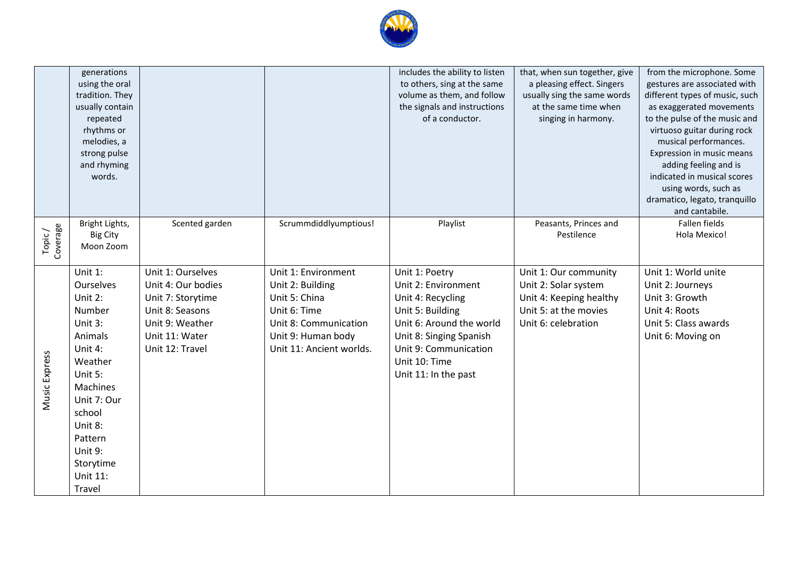

|                    | generations<br>using the oral<br>tradition. They<br>usually contain<br>repeated<br>rhythms or<br>melodies, a<br>strong pulse<br>and rhyming<br>words.                                                            |                                                                                                                                         |                                                                                                                                                     | includes the ability to listen<br>to others, sing at the same<br>volume as them, and follow<br>the signals and instructions<br>of a conductor.                                                          | that, when sun together, give<br>a pleasing effect. Singers<br>usually sing the same words<br>at the same time when<br>singing in harmony. | from the microphone. Some<br>gestures are associated with<br>different types of music, such<br>as exaggerated movements<br>to the pulse of the music and<br>virtuoso guitar during rock<br>musical performances.<br>Expression in music means<br>adding feeling and is<br>indicated in musical scores<br>using words, such as<br>dramatico, legato, tranquillo<br>and cantabile. |
|--------------------|------------------------------------------------------------------------------------------------------------------------------------------------------------------------------------------------------------------|-----------------------------------------------------------------------------------------------------------------------------------------|-----------------------------------------------------------------------------------------------------------------------------------------------------|---------------------------------------------------------------------------------------------------------------------------------------------------------------------------------------------------------|--------------------------------------------------------------------------------------------------------------------------------------------|----------------------------------------------------------------------------------------------------------------------------------------------------------------------------------------------------------------------------------------------------------------------------------------------------------------------------------------------------------------------------------|
| Topic/<br>Coverage | Bright Lights,<br><b>Big City</b><br>Moon Zoom                                                                                                                                                                   | Scented garden                                                                                                                          | Scrummdiddlyumptious!                                                                                                                               | Playlist                                                                                                                                                                                                | Peasants, Princes and<br>Pestilence                                                                                                        | Fallen fields<br>Hola Mexico!                                                                                                                                                                                                                                                                                                                                                    |
| Music Express      | Unit 1:<br>Ourselves<br>Unit 2:<br>Number<br>Unit 3:<br>Animals<br>Unit 4:<br>Weather<br>Unit 5:<br>Machines<br>Unit 7: Our<br>school<br>Unit 8:<br>Pattern<br>Unit 9:<br>Storytime<br><b>Unit 11:</b><br>Travel | Unit 1: Ourselves<br>Unit 4: Our bodies<br>Unit 7: Storytime<br>Unit 8: Seasons<br>Unit 9: Weather<br>Unit 11: Water<br>Unit 12: Travel | Unit 1: Environment<br>Unit 2: Building<br>Unit 5: China<br>Unit 6: Time<br>Unit 8: Communication<br>Unit 9: Human body<br>Unit 11: Ancient worlds. | Unit 1: Poetry<br>Unit 2: Environment<br>Unit 4: Recycling<br>Unit 5: Building<br>Unit 6: Around the world<br>Unit 8: Singing Spanish<br>Unit 9: Communication<br>Unit 10: Time<br>Unit 11: In the past | Unit 1: Our community<br>Unit 2: Solar system<br>Unit 4: Keeping healthy<br>Unit 5: at the movies<br>Unit 6: celebration                   | Unit 1: World unite<br>Unit 2: Journeys<br>Unit 3: Growth<br>Unit 4: Roots<br>Unit 5: Class awards<br>Unit 6: Moving on                                                                                                                                                                                                                                                          |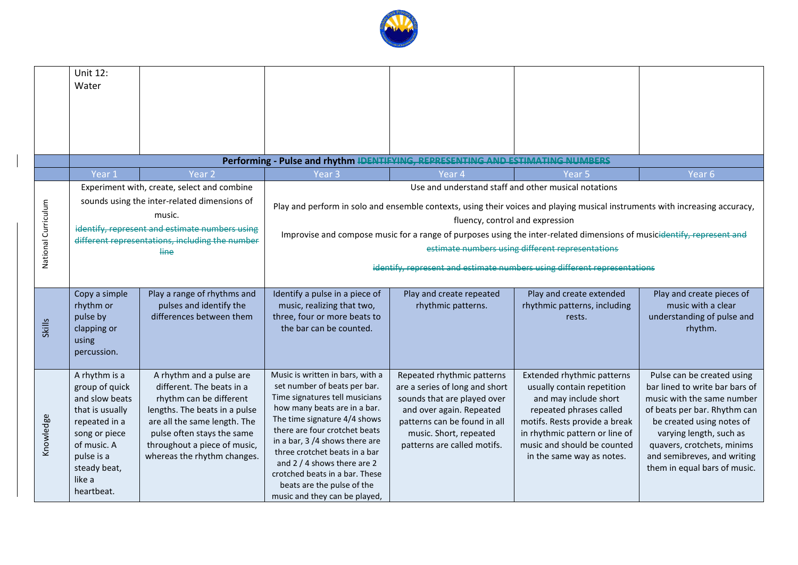

| Year <sub>6</sub>                                                                                                            |
|------------------------------------------------------------------------------------------------------------------------------|
|                                                                                                                              |
| Play and perform in solo and ensemble contexts, using their voices and playing musical instruments with increasing accuracy, |
|                                                                                                                              |
| Improvise and compose music for a range of purposes using the inter-related dimensions of musicidentify, represent and       |
|                                                                                                                              |
|                                                                                                                              |
|                                                                                                                              |
| Play and create pieces of                                                                                                    |
| music with a clear                                                                                                           |
| understanding of pulse and<br>rhythm.                                                                                        |
|                                                                                                                              |
|                                                                                                                              |
|                                                                                                                              |
| Pulse can be created using<br>bar lined to write bar bars of                                                                 |
| music with the same number                                                                                                   |
| of beats per bar. Rhythm can                                                                                                 |
| be created using notes of                                                                                                    |
| varying length, such as                                                                                                      |
| quavers, crotchets, minims                                                                                                   |
| and semibreves, and writing<br>them in equal bars of music.                                                                  |
|                                                                                                                              |
|                                                                                                                              |
| identify, represent and estimate numbers using different representations                                                     |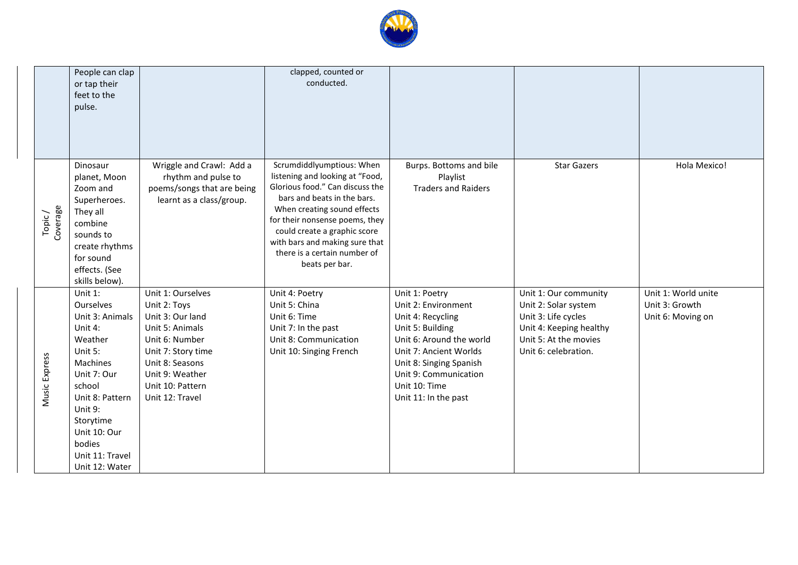

|                     | People can clap<br>or tap their<br>feet to the<br>pulse.                                                                                                                                                                |                                                                                                                                                                                               | clapped, counted or<br>conducted.                                                                                                                                                                                                                                                                                   |                                                                                                                                                                                                                                   |                                                                                                                                                  |                                                            |
|---------------------|-------------------------------------------------------------------------------------------------------------------------------------------------------------------------------------------------------------------------|-----------------------------------------------------------------------------------------------------------------------------------------------------------------------------------------------|---------------------------------------------------------------------------------------------------------------------------------------------------------------------------------------------------------------------------------------------------------------------------------------------------------------------|-----------------------------------------------------------------------------------------------------------------------------------------------------------------------------------------------------------------------------------|--------------------------------------------------------------------------------------------------------------------------------------------------|------------------------------------------------------------|
| Topic /<br>Coverage | Dinosaur<br>planet, Moon<br>Zoom and<br>Superheroes.<br>They all<br>combine<br>sounds to<br>create rhythms<br>for sound<br>effects. (See<br>skills below).                                                              | Wriggle and Crawl: Add a<br>rhythm and pulse to<br>poems/songs that are being<br>learnt as a class/group.                                                                                     | Scrumdiddlyumptious: When<br>listening and looking at "Food,<br>Glorious food." Can discuss the<br>bars and beats in the bars.<br>When creating sound effects<br>for their nonsense poems, they<br>could create a graphic score<br>with bars and making sure that<br>there is a certain number of<br>beats per bar. | Burps. Bottoms and bile<br>Playlist<br><b>Traders and Raiders</b>                                                                                                                                                                 | <b>Star Gazers</b>                                                                                                                               | Hola Mexico!                                               |
| Music Express       | Unit 1:<br>Ourselves<br>Unit 3: Animals<br>Unit 4:<br>Weather<br>Unit 5:<br>Machines<br>Unit 7: Our<br>school<br>Unit 8: Pattern<br>Unit 9:<br>Storytime<br>Unit 10: Our<br>bodies<br>Unit 11: Travel<br>Unit 12: Water | Unit 1: Ourselves<br>Unit 2: Toys<br>Unit 3: Our land<br>Unit 5: Animals<br>Unit 6: Number<br>Unit 7: Story time<br>Unit 8: Seasons<br>Unit 9: Weather<br>Unit 10: Pattern<br>Unit 12: Travel | Unit 4: Poetry<br>Unit 5: China<br>Unit 6: Time<br>Unit 7: In the past<br>Unit 8: Communication<br>Unit 10: Singing French                                                                                                                                                                                          | Unit 1: Poetry<br>Unit 2: Environment<br>Unit 4: Recycling<br>Unit 5: Building<br>Unit 6: Around the world<br>Unit 7: Ancient Worlds<br>Unit 8: Singing Spanish<br>Unit 9: Communication<br>Unit 10: Time<br>Unit 11: In the past | Unit 1: Our community<br>Unit 2: Solar system<br>Unit 3: Life cycles<br>Unit 4: Keeping healthy<br>Unit 5: At the movies<br>Unit 6: celebration. | Unit 1: World unite<br>Unit 3: Growth<br>Unit 6: Moving on |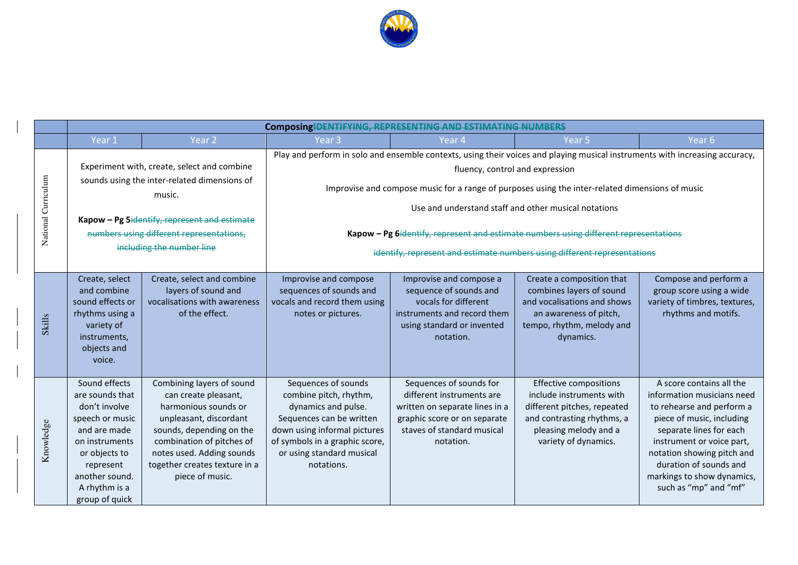

|                     | Composing IDENTIFYING, REPRESENTING AND ESTIMATING NUMBERS                                                                                                                                                                     |                                                                                                                                                                                                                                               |                                                                                                                                                                                                                                                                                                                                                                                                                                                                                                |                                                                                                                                                                   |                                                                                                                                                                         |                                                                                                                                                                                                                                                                                         |  |
|---------------------|--------------------------------------------------------------------------------------------------------------------------------------------------------------------------------------------------------------------------------|-----------------------------------------------------------------------------------------------------------------------------------------------------------------------------------------------------------------------------------------------|------------------------------------------------------------------------------------------------------------------------------------------------------------------------------------------------------------------------------------------------------------------------------------------------------------------------------------------------------------------------------------------------------------------------------------------------------------------------------------------------|-------------------------------------------------------------------------------------------------------------------------------------------------------------------|-------------------------------------------------------------------------------------------------------------------------------------------------------------------------|-----------------------------------------------------------------------------------------------------------------------------------------------------------------------------------------------------------------------------------------------------------------------------------------|--|
|                     | Year 1                                                                                                                                                                                                                         | Year <sub>2</sub>                                                                                                                                                                                                                             | Year 3                                                                                                                                                                                                                                                                                                                                                                                                                                                                                         | Year 4                                                                                                                                                            | Year 5                                                                                                                                                                  | Year <sub>6</sub>                                                                                                                                                                                                                                                                       |  |
| National Curriculum | Experiment with, create, select and combine<br>sounds using the inter-related dimensions of<br>music.<br>Kapow - Pg 5identify, represent and estimate<br>numbers using different representations,<br>including the number line |                                                                                                                                                                                                                                               | Play and perform in solo and ensemble contexts, using their voices and playing musical instruments with increasing accuracy,<br>fluency, control and expression<br>Improvise and compose music for a range of purposes using the inter-related dimensions of music<br>Use and understand staff and other musical notations<br>Kapow - Pg 6identify, represent and estimate numbers using different representations<br>identify, represent and estimate numbers using different representations |                                                                                                                                                                   |                                                                                                                                                                         |                                                                                                                                                                                                                                                                                         |  |
| Skills              | Create, select<br>and combine<br>sound effects or<br>rhythms using a<br>variety of<br>instruments,<br>objects and<br>voice.                                                                                                    | Create, select and combine<br>layers of sound and<br>vocalisations with awareness<br>of the effect.                                                                                                                                           | Improvise and compose<br>sequences of sounds and<br>vocals and record them using<br>notes or pictures.                                                                                                                                                                                                                                                                                                                                                                                         | Improvise and compose a<br>sequence of sounds and<br>vocals for different<br>instruments and record them<br>using standard or invented<br>notation.               | Create a composition that<br>combines layers of sound<br>and vocalisations and shows<br>an awareness of pitch,<br>tempo, rhythm, melody and<br>dynamics.                | Compose and perform a<br>group score using a wide<br>variety of timbres, textures,<br>rhythms and motifs.                                                                                                                                                                               |  |
| Knowledge           | Sound effects<br>are sounds that<br>don't involve<br>speech or music<br>and are made<br>on instruments<br>or objects to<br>represent<br>another sound.<br>A rhythm is a<br>group of quick                                      | Combining layers of sound<br>can create pleasant,<br>harmonious sounds or<br>unpleasant, discordant<br>sounds, depending on the<br>combination of pitches of<br>notes used. Adding sounds<br>together creates texture in a<br>piece of music. | Sequences of sounds<br>combine pitch, rhythm,<br>dynamics and pulse.<br>Sequences can be written<br>down using informal pictures<br>of symbols in a graphic score,<br>or using standard musical<br>notations.                                                                                                                                                                                                                                                                                  | Sequences of sounds for<br>different instruments are<br>written on separate lines in a<br>graphic score or on separate<br>staves of standard musical<br>notation. | <b>Effective compositions</b><br>include instruments with<br>different pitches, repeated<br>and contrasting rhythms, a<br>pleasing melody and a<br>variety of dynamics. | A score contains all the<br>information musicians need<br>to rehearse and perform a<br>piece of music, including<br>separate lines for each<br>instrument or voice part,<br>notation showing pitch and<br>duration of sounds and<br>markings to show dynamics,<br>such as "mp" and "mf" |  |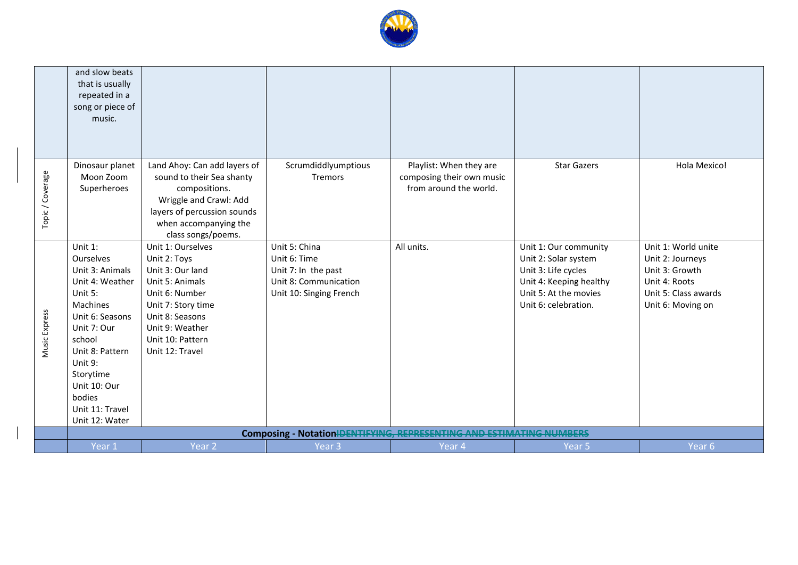

|                  | and slow beats<br>that is usually<br>repeated in a<br>song or piece of<br>music.                                                                                                                                                           |                                                                                                                                                                                               |                                                                                                          |                                                                                |                                                                                                                                                  |                                                                                                                         |
|------------------|--------------------------------------------------------------------------------------------------------------------------------------------------------------------------------------------------------------------------------------------|-----------------------------------------------------------------------------------------------------------------------------------------------------------------------------------------------|----------------------------------------------------------------------------------------------------------|--------------------------------------------------------------------------------|--------------------------------------------------------------------------------------------------------------------------------------------------|-------------------------------------------------------------------------------------------------------------------------|
| Topic / Coverage | Dinosaur planet<br>Moon Zoom<br>Superheroes                                                                                                                                                                                                | Land Ahoy: Can add layers of<br>sound to their Sea shanty<br>compositions.<br>Wriggle and Crawl: Add<br>layers of percussion sounds<br>when accompanying the<br>class songs/poems.            | Scrumdiddlyumptious<br>Tremors                                                                           | Playlist: When they are<br>composing their own music<br>from around the world. | <b>Star Gazers</b>                                                                                                                               | Hola Mexico!                                                                                                            |
| Music Express    | Unit $1$ :<br>Ourselves<br>Unit 3: Animals<br>Unit 4: Weather<br>Unit 5:<br>Machines<br>Unit 6: Seasons<br>Unit 7: Our<br>school<br>Unit 8: Pattern<br>Unit 9:<br>Storytime<br>Unit 10: Our<br>bodies<br>Unit 11: Travel<br>Unit 12: Water | Unit 1: Ourselves<br>Unit 2: Toys<br>Unit 3: Our land<br>Unit 5: Animals<br>Unit 6: Number<br>Unit 7: Story time<br>Unit 8: Seasons<br>Unit 9: Weather<br>Unit 10: Pattern<br>Unit 12: Travel | Unit 5: China<br>Unit 6: Time<br>Unit 7: In the past<br>Unit 8: Communication<br>Unit 10: Singing French | All units.                                                                     | Unit 1: Our community<br>Unit 2: Solar system<br>Unit 3: Life cycles<br>Unit 4: Keeping healthy<br>Unit 5: At the movies<br>Unit 6: celebration. | Unit 1: World unite<br>Unit 2: Journeys<br>Unit 3: Growth<br>Unit 4: Roots<br>Unit 5: Class awards<br>Unit 6: Moving on |
|                  | Year 1                                                                                                                                                                                                                                     | Year <sub>2</sub>                                                                                                                                                                             | Year <sub>3</sub>                                                                                        | Composing - Notation IDENTIFYING, REPRESENTING AND ESTIMATING NUMBERS          |                                                                                                                                                  | Year <sub>6</sub>                                                                                                       |
|                  |                                                                                                                                                                                                                                            |                                                                                                                                                                                               |                                                                                                          | Year 4                                                                         | Year <sub>5</sub>                                                                                                                                |                                                                                                                         |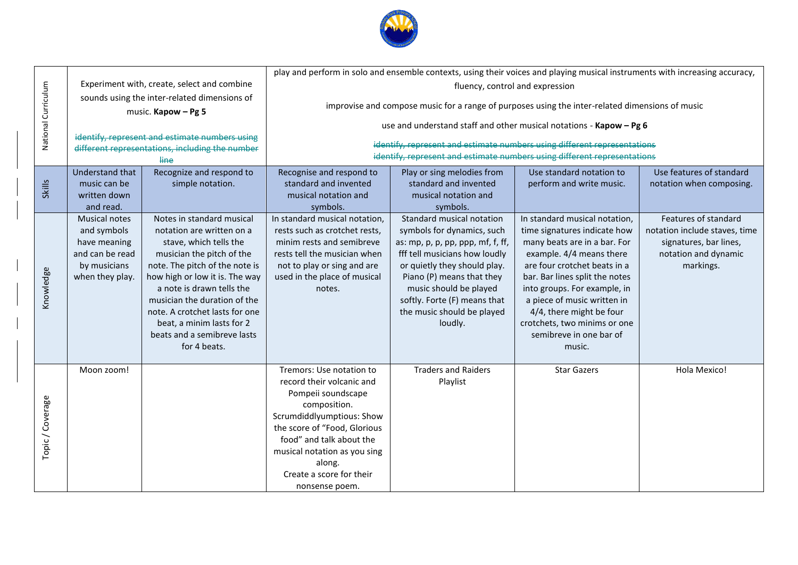

|                     |                                                                                                           |                                                                                                                                                                                                                                                                                                                                                              |                                                                                                                                                                                                                                                                              | play and perform in solo and ensemble contexts, using their voices and playing musical instruments with increasing accuracy,                                                                                                                                                                              |                                                                                                                                                                                                                                                                                                                                                             |                                                                                                                      |
|---------------------|-----------------------------------------------------------------------------------------------------------|--------------------------------------------------------------------------------------------------------------------------------------------------------------------------------------------------------------------------------------------------------------------------------------------------------------------------------------------------------------|------------------------------------------------------------------------------------------------------------------------------------------------------------------------------------------------------------------------------------------------------------------------------|-----------------------------------------------------------------------------------------------------------------------------------------------------------------------------------------------------------------------------------------------------------------------------------------------------------|-------------------------------------------------------------------------------------------------------------------------------------------------------------------------------------------------------------------------------------------------------------------------------------------------------------------------------------------------------------|----------------------------------------------------------------------------------------------------------------------|
|                     |                                                                                                           | Experiment with, create, select and combine<br>sounds using the inter-related dimensions of                                                                                                                                                                                                                                                                  | fluency, control and expression                                                                                                                                                                                                                                              |                                                                                                                                                                                                                                                                                                           |                                                                                                                                                                                                                                                                                                                                                             |                                                                                                                      |
| National Curriculum |                                                                                                           | music. Kapow - Pg 5                                                                                                                                                                                                                                                                                                                                          |                                                                                                                                                                                                                                                                              | improvise and compose music for a range of purposes using the inter-related dimensions of music                                                                                                                                                                                                           |                                                                                                                                                                                                                                                                                                                                                             |                                                                                                                      |
|                     |                                                                                                           |                                                                                                                                                                                                                                                                                                                                                              |                                                                                                                                                                                                                                                                              | use and understand staff and other musical notations - Kapow - Pg 6                                                                                                                                                                                                                                       |                                                                                                                                                                                                                                                                                                                                                             |                                                                                                                      |
|                     |                                                                                                           | identify, represent and estimate numbers using<br>different representations, including the number                                                                                                                                                                                                                                                            |                                                                                                                                                                                                                                                                              | identify, represent and estimate numbers using different representations                                                                                                                                                                                                                                  |                                                                                                                                                                                                                                                                                                                                                             |                                                                                                                      |
|                     |                                                                                                           | line                                                                                                                                                                                                                                                                                                                                                         |                                                                                                                                                                                                                                                                              | identify, represent and estimate numbers using different representations                                                                                                                                                                                                                                  |                                                                                                                                                                                                                                                                                                                                                             |                                                                                                                      |
| <b>Skills</b>       | Understand that<br>music can be<br>written down<br>and read.                                              | Recognize and respond to<br>simple notation.                                                                                                                                                                                                                                                                                                                 | Recognise and respond to<br>standard and invented<br>musical notation and                                                                                                                                                                                                    | Play or sing melodies from<br>standard and invented<br>musical notation and                                                                                                                                                                                                                               | Use standard notation to<br>perform and write music.                                                                                                                                                                                                                                                                                                        | Use features of standard<br>notation when composing.                                                                 |
| Knowledge           | <b>Musical notes</b><br>and symbols<br>have meaning<br>and can be read<br>by musicians<br>when they play. | Notes in standard musical<br>notation are written on a<br>stave, which tells the<br>musician the pitch of the<br>note. The pitch of the note is<br>how high or low it is. The way<br>a note is drawn tells the<br>musician the duration of the<br>note. A crotchet lasts for one<br>beat, a minim lasts for 2<br>beats and a semibreve lasts<br>for 4 beats. | symbols.<br>In standard musical notation,<br>rests such as crotchet rests,<br>minim rests and semibreve<br>rests tell the musician when<br>not to play or sing and are<br>used in the place of musical<br>notes.                                                             | symbols.<br>Standard musical notation<br>symbols for dynamics, such<br>as: mp, p, p, pp, ppp, mf, f, ff,<br>fff tell musicians how loudly<br>or quietly they should play.<br>Piano (P) means that they<br>music should be played<br>softly. Forte (F) means that<br>the music should be played<br>loudly. | In standard musical notation,<br>time signatures indicate how<br>many beats are in a bar. For<br>example. 4/4 means there<br>are four crotchet beats in a<br>bar. Bar lines split the notes<br>into groups. For example, in<br>a piece of music written in<br>4/4, there might be four<br>crotchets, two minims or one<br>semibreve in one bar of<br>music. | Features of standard<br>notation include staves, time<br>signatures, bar lines,<br>notation and dynamic<br>markings. |
| Topic/Coverage      | Moon zoom!                                                                                                |                                                                                                                                                                                                                                                                                                                                                              | Tremors: Use notation to<br>record their volcanic and<br>Pompeii soundscape<br>composition.<br>Scrumdiddlyumptious: Show<br>the score of "Food, Glorious<br>food" and talk about the<br>musical notation as you sing<br>along.<br>Create a score for their<br>nonsense poem. | <b>Traders and Raiders</b><br>Playlist                                                                                                                                                                                                                                                                    | <b>Star Gazers</b>                                                                                                                                                                                                                                                                                                                                          | Hola Mexico!                                                                                                         |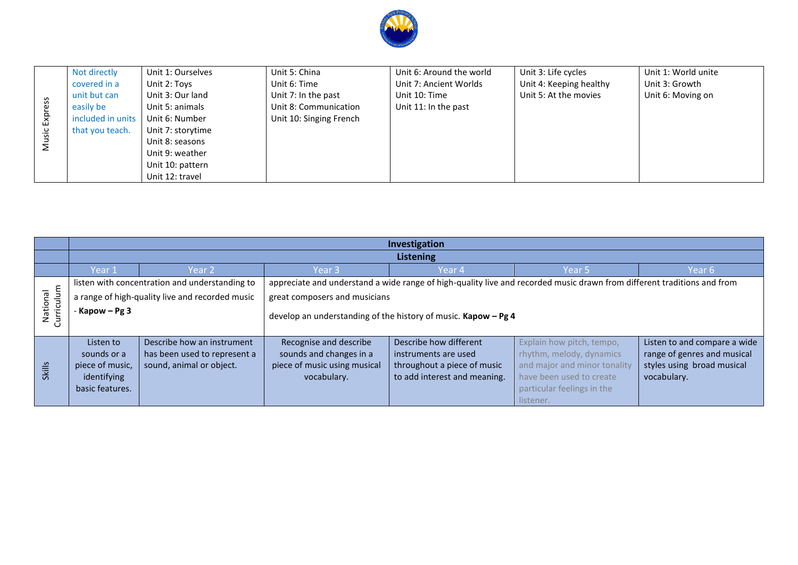

|              | Not directly      | Unit 1: Ourselves | Unit 5: China           | Unit 6: Around the world | Unit 3: Life cycles     | Unit 1: World unite |
|--------------|-------------------|-------------------|-------------------------|--------------------------|-------------------------|---------------------|
|              | covered in a      | Unit 2: Toys      | Unit 6: Time            | Unit 7: Ancient Worlds   | Unit 4: Keeping healthy | Unit 3: Growth      |
| $\mathbf{v}$ | unit but can      | Unit 3: Our land  | Unit 7: In the past     | Unit 10: Time            | Unit 5: At the movies   | Unit 6: Moving on   |
|              | easily be         | Unit 5: animals   | Unit 8: Communication   | Unit 11: In the past     |                         |                     |
| Exp          | included in units | Unit 6: Number    | Unit 10: Singing French |                          |                         |                     |
|              | that you teach.   | Unit 7: storytime |                         |                          |                         |                     |
|              |                   | Unit 8: seasons   |                         |                          |                         |                     |
|              |                   | Unit 9: weather   |                         |                          |                         |                     |
|              |                   | Unit 10: pattern  |                         |                          |                         |                     |
|              |                   | Unit 12: travel   |                         |                          |                         |                     |

|                        | Investigation                                                                 |                                                                                        |                                                                                                  |                                                                                                               |                                                                                                                                                              |                                                                                                          |
|------------------------|-------------------------------------------------------------------------------|----------------------------------------------------------------------------------------|--------------------------------------------------------------------------------------------------|---------------------------------------------------------------------------------------------------------------|--------------------------------------------------------------------------------------------------------------------------------------------------------------|----------------------------------------------------------------------------------------------------------|
|                        | <b>Listening</b>                                                              |                                                                                        |                                                                                                  |                                                                                                               |                                                                                                                                                              |                                                                                                          |
|                        | Year 1                                                                        | Year 2                                                                                 | Year 3                                                                                           | Year 4                                                                                                        | Year 5                                                                                                                                                       | Year 6                                                                                                   |
|                        |                                                                               | listen with concentration and understanding to                                         |                                                                                                  |                                                                                                               | appreciate and understand a wide range of high-quality live and recorded music drawn from different traditions and from                                      |                                                                                                          |
|                        | a range of high-quality live and recorded music                               |                                                                                        | great composers and musicians                                                                    |                                                                                                               |                                                                                                                                                              |                                                                                                          |
| Curriculum<br>National | - Kapow $-$ Pg 3                                                              |                                                                                        | develop an understanding of the history of music. Kapow - Pg 4                                   |                                                                                                               |                                                                                                                                                              |                                                                                                          |
| Skills                 | Listen to<br>sounds or a<br>piece of music,<br>identifying<br>basic features. | Describe how an instrument<br>has been used to represent a<br>sound, animal or object. | Recognise and describe<br>sounds and changes in a<br>piece of music using musical<br>vocabulary. | Describe how different<br>instruments are used<br>throughout a piece of music<br>to add interest and meaning. | Explain how pitch, tempo,<br>rhythm, melody, dynamics<br>and major and minor tonality<br>have been used to create<br>particular feelings in the<br>listener. | Listen to and compare a wide<br>range of genres and musical<br>styles using broad musical<br>vocabulary. |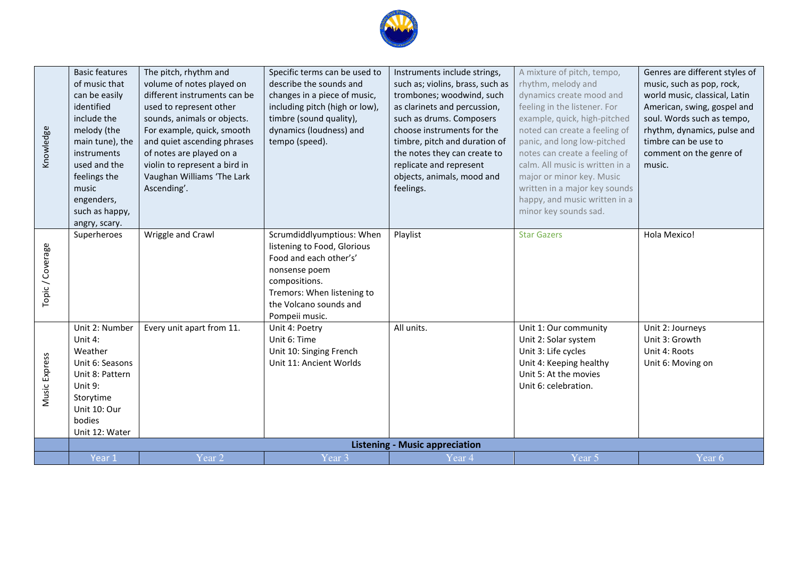

| Wriggle and Crawl<br>Scrumdiddlyumptious: When<br>Playlist<br><b>Star Gazers</b><br>Hola Mexico!<br>Superheroes<br>listening to Food, Glorious<br>Food and each other's'<br>nonsense poem                                                                                                                                                                                                                                                                                                                                          | <b>Basic features</b><br>of music that<br>can be easily<br>identified<br>include the<br>Knowledge<br>melody (the<br>main tune), the<br>instruments<br>used and the<br>feelings the<br>music<br>engenders,<br>such as happy,<br>angry, scary. | The pitch, rhythm and<br>volume of notes played on<br>different instruments can be<br>used to represent other<br>sounds, animals or objects.<br>For example, quick, smooth<br>and quiet ascending phrases<br>of notes are played on a<br>violin to represent a bird in<br>Vaughan Williams 'The Lark<br>Ascending'. | Specific terms can be used to<br>describe the sounds and<br>changes in a piece of music,<br>including pitch (high or low),<br>timbre (sound quality),<br>dynamics (loudness) and<br>tempo (speed). | Instruments include strings,<br>such as; violins, brass, such as<br>trombones; woodwind, such<br>as clarinets and percussion,<br>such as drums. Composers<br>choose instruments for the<br>timbre, pitch and duration of<br>the notes they can create to<br>replicate and represent<br>objects, animals, mood and<br>feelings. | A mixture of pitch, tempo,<br>rhythm, melody and<br>dynamics create mood and<br>feeling in the listener. For<br>example, quick, high-pitched<br>noted can create a feeling of<br>panic, and long low-pitched<br>notes can create a feeling of<br>calm. All music is written in a<br>major or minor key. Music<br>written in a major key sounds<br>happy, and music written in a<br>minor key sounds sad. | Genres are different styles of<br>music, such as pop, rock,<br>world music, classical, Latin<br>American, swing, gospel and<br>soul. Words such as tempo,<br>rhythm, dynamics, pulse and<br>timbre can be use to<br>comment on the genre of<br>music. |
|------------------------------------------------------------------------------------------------------------------------------------------------------------------------------------------------------------------------------------------------------------------------------------------------------------------------------------------------------------------------------------------------------------------------------------------------------------------------------------------------------------------------------------|----------------------------------------------------------------------------------------------------------------------------------------------------------------------------------------------------------------------------------------------|---------------------------------------------------------------------------------------------------------------------------------------------------------------------------------------------------------------------------------------------------------------------------------------------------------------------|----------------------------------------------------------------------------------------------------------------------------------------------------------------------------------------------------|--------------------------------------------------------------------------------------------------------------------------------------------------------------------------------------------------------------------------------------------------------------------------------------------------------------------------------|----------------------------------------------------------------------------------------------------------------------------------------------------------------------------------------------------------------------------------------------------------------------------------------------------------------------------------------------------------------------------------------------------------|-------------------------------------------------------------------------------------------------------------------------------------------------------------------------------------------------------------------------------------------------------|
| Tremors: When listening to<br>the Volcano sounds and<br>Pompeii music.                                                                                                                                                                                                                                                                                                                                                                                                                                                             | Topic/Coverage                                                                                                                                                                                                                               |                                                                                                                                                                                                                                                                                                                     | compositions.                                                                                                                                                                                      |                                                                                                                                                                                                                                                                                                                                |                                                                                                                                                                                                                                                                                                                                                                                                          |                                                                                                                                                                                                                                                       |
| Unit 2: Number<br>Every unit apart from 11.<br>All units.<br>Unit 4: Poetry<br>Unit 1: Our community<br>Unit 2: Journeys<br>Unit 4:<br>Unit 6: Time<br>Unit 3: Growth<br>Unit 2: Solar system<br>Weather<br>Unit 3: Life cycles<br>Unit 4: Roots<br>Unit 10: Singing French<br>Music Express<br>Unit 6: Seasons<br>Unit 11: Ancient Worlds<br>Unit 4: Keeping healthy<br>Unit 6: Moving on<br>Unit 8: Pattern<br>Unit 5: At the movies<br>Unit 9:<br>Unit 6: celebration.<br>Storytime<br>Unit 10: Our<br>bodies<br>Unit 12: Water |                                                                                                                                                                                                                                              |                                                                                                                                                                                                                                                                                                                     |                                                                                                                                                                                                    |                                                                                                                                                                                                                                                                                                                                |                                                                                                                                                                                                                                                                                                                                                                                                          |                                                                                                                                                                                                                                                       |
| <b>Listening - Music appreciation</b><br>Year <sub>6</sub><br>Year <sub>2</sub><br>Year <sub>3</sub><br>Year 5<br>Year 1<br>Year 4                                                                                                                                                                                                                                                                                                                                                                                                 |                                                                                                                                                                                                                                              |                                                                                                                                                                                                                                                                                                                     |                                                                                                                                                                                                    |                                                                                                                                                                                                                                                                                                                                |                                                                                                                                                                                                                                                                                                                                                                                                          |                                                                                                                                                                                                                                                       |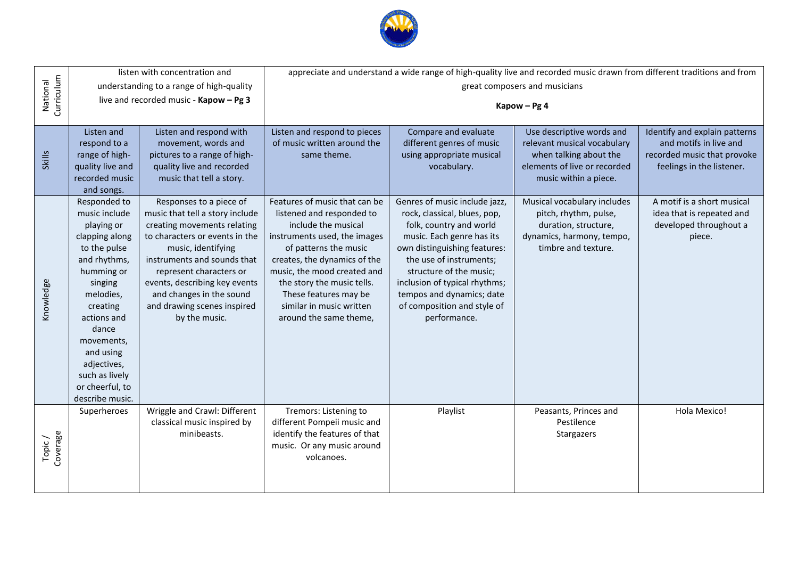

| Curriculum<br>National |                                                                                                                                                                                                                                                                           | listen with concentration and<br>understanding to a range of high-quality<br>live and recorded music - Kapow - Pg 3                                                                                                                                                                                                      | appreciate and understand a wide range of high-quality live and recorded music drawn from different traditions and from<br>great composers and musicians<br>Kapow - Pg 4                                                                                                                                               |                                                                                                                                                                                                                                                                                                                          |                                                                                                                                             |                                                                                                                     |
|------------------------|---------------------------------------------------------------------------------------------------------------------------------------------------------------------------------------------------------------------------------------------------------------------------|--------------------------------------------------------------------------------------------------------------------------------------------------------------------------------------------------------------------------------------------------------------------------------------------------------------------------|------------------------------------------------------------------------------------------------------------------------------------------------------------------------------------------------------------------------------------------------------------------------------------------------------------------------|--------------------------------------------------------------------------------------------------------------------------------------------------------------------------------------------------------------------------------------------------------------------------------------------------------------------------|---------------------------------------------------------------------------------------------------------------------------------------------|---------------------------------------------------------------------------------------------------------------------|
| <b>Skills</b>          | Listen and<br>respond to a<br>range of high-<br>quality live and<br>recorded music<br>and songs.                                                                                                                                                                          | Listen and respond with<br>movement, words and<br>pictures to a range of high-<br>quality live and recorded<br>music that tell a story.                                                                                                                                                                                  | Listen and respond to pieces<br>of music written around the<br>same theme.                                                                                                                                                                                                                                             | Compare and evaluate<br>different genres of music<br>using appropriate musical<br>vocabulary.                                                                                                                                                                                                                            | Use descriptive words and<br>relevant musical vocabulary<br>when talking about the<br>elements of live or recorded<br>music within a piece. | Identify and explain patterns<br>and motifs in live and<br>recorded music that provoke<br>feelings in the listener. |
| Knowledge              | Responded to<br>music include<br>playing or<br>clapping along<br>to the pulse<br>and rhythms,<br>humming or<br>singing<br>melodies,<br>creating<br>actions and<br>dance<br>movements,<br>and using<br>adjectives,<br>such as lively<br>or cheerful, to<br>describe music. | Responses to a piece of<br>music that tell a story include<br>creating movements relating<br>to characters or events in the<br>music, identifying<br>instruments and sounds that<br>represent characters or<br>events, describing key events<br>and changes in the sound<br>and drawing scenes inspired<br>by the music. | Features of music that can be<br>listened and responded to<br>include the musical<br>instruments used, the images<br>of patterns the music<br>creates, the dynamics of the<br>music, the mood created and<br>the story the music tells.<br>These features may be<br>similar in music written<br>around the same theme, | Genres of music include jazz,<br>rock, classical, blues, pop,<br>folk, country and world<br>music. Each genre has its<br>own distinguishing features:<br>the use of instruments;<br>structure of the music;<br>inclusion of typical rhythms;<br>tempos and dynamics; date<br>of composition and style of<br>performance. | Musical vocabulary includes<br>pitch, rhythm, pulse,<br>duration, structure,<br>dynamics, harmony, tempo,<br>timbre and texture.            | A motif is a short musical<br>idea that is repeated and<br>developed throughout a<br>piece.                         |
| Coverage<br>Topic/     | Superheroes                                                                                                                                                                                                                                                               | Wriggle and Crawl: Different<br>classical music inspired by<br>minibeasts.                                                                                                                                                                                                                                               | Tremors: Listening to<br>different Pompeii music and<br>identify the features of that<br>music. Or any music around<br>volcanoes.                                                                                                                                                                                      | Playlist                                                                                                                                                                                                                                                                                                                 | Peasants, Princes and<br>Pestilence<br>Stargazers                                                                                           | Hola Mexico!                                                                                                        |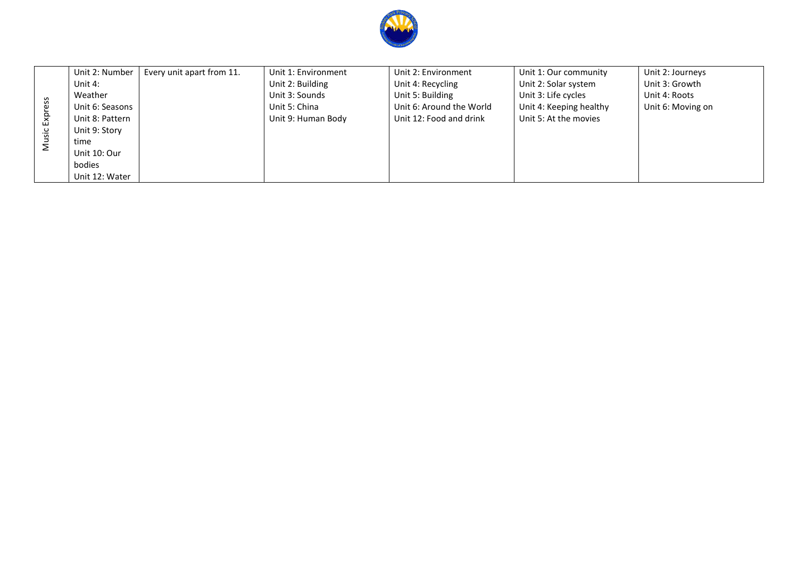

|    | Unit 2: Number  | Every unit apart from 11. | Unit 1: Environment | Unit 2: Environment      | Unit 1: Our community   | Unit 2: Journeys  |
|----|-----------------|---------------------------|---------------------|--------------------------|-------------------------|-------------------|
| ΔŇ | Unit 4:         |                           | Unit 2: Building    | Unit 4: Recycling        | Unit 2: Solar system    | Unit 3: Growth    |
|    | Weather         |                           | Unit 3: Sounds      | Unit 5: Building         | Unit 3: Life cycles     | Unit 4: Roots     |
|    | Unit 6: Seasons |                           | Unit 5: China       | Unit 6: Around the World | Unit 4: Keeping healthy | Unit 6: Moving on |
|    | Unit 8: Pattern |                           | Unit 9: Human Body  | Unit 12: Food and drink  | Unit 5: At the movies   |                   |
|    | Unit 9: Story   |                           |                     |                          |                         |                   |
|    | time            |                           |                     |                          |                         |                   |
|    | Unit 10: Our    |                           |                     |                          |                         |                   |
|    | bodies          |                           |                     |                          |                         |                   |
|    | Unit 12: Water  |                           |                     |                          |                         |                   |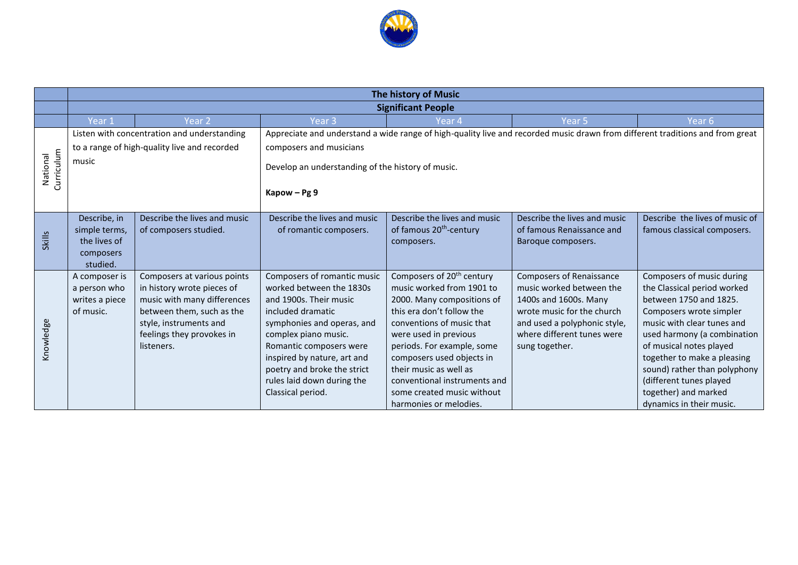

|                        | The history of Music                         |                                             |                                                   |                                       |                                                                                                                               |                                |  |
|------------------------|----------------------------------------------|---------------------------------------------|---------------------------------------------------|---------------------------------------|-------------------------------------------------------------------------------------------------------------------------------|--------------------------------|--|
|                        | <b>Significant People</b>                    |                                             |                                                   |                                       |                                                                                                                               |                                |  |
|                        | Year 1                                       | Year <sub>2</sub>                           | Year <sub>3</sub>                                 | Year 4                                | Year 5                                                                                                                        | Year 6                         |  |
|                        |                                              | Listen with concentration and understanding |                                                   |                                       | Appreciate and understand a wide range of high-quality live and recorded music drawn from different traditions and from great |                                |  |
| Curriculum<br>National | to a range of high-quality live and recorded |                                             | composers and musicians                           |                                       |                                                                                                                               |                                |  |
|                        | music                                        |                                             | Develop an understanding of the history of music. |                                       |                                                                                                                               |                                |  |
|                        |                                              |                                             | Kapow - Pg 9                                      |                                       |                                                                                                                               |                                |  |
|                        | Describe, in                                 | Describe the lives and music                | Describe the lives and music                      | Describe the lives and music          | Describe the lives and music                                                                                                  | Describe the lives of music of |  |
|                        | simple terms,                                | of composers studied.                       | of romantic composers.                            | of famous 20 <sup>th</sup> -century   | of famous Renaissance and                                                                                                     | famous classical composers.    |  |
| <b>Skills</b>          | the lives of                                 |                                             |                                                   | composers.                            | Baroque composers.                                                                                                            |                                |  |
|                        | composers<br>studied.                        |                                             |                                                   |                                       |                                                                                                                               |                                |  |
|                        | A composer is                                | Composers at various points                 | Composers of romantic music                       | Composers of 20 <sup>th</sup> century | <b>Composers of Renaissance</b>                                                                                               | Composers of music during      |  |
|                        | a person who                                 | in history wrote pieces of                  | worked between the 1830s                          | music worked from 1901 to             | music worked between the                                                                                                      | the Classical period worked    |  |
|                        | writes a piece                               | music with many differences                 | and 1900s. Their music                            | 2000. Many compositions of            | 1400s and 1600s. Many                                                                                                         | between 1750 and 1825.         |  |
|                        | of music.                                    | between them, such as the                   | included dramatic                                 | this era don't follow the             | wrote music for the church                                                                                                    | Composers wrote simpler        |  |
| knowledge              |                                              | style, instruments and                      | symphonies and operas, and                        | conventions of music that             | and used a polyphonic style,                                                                                                  | music with clear tunes and     |  |
|                        |                                              | feelings they provokes in                   | complex piano music.                              | were used in previous                 | where different tunes were                                                                                                    | used harmony (a combination    |  |
|                        |                                              | listeners.                                  | Romantic composers were                           | periods. For example, some            | sung together.                                                                                                                | of musical notes played        |  |
|                        |                                              |                                             | inspired by nature, art and                       | composers used objects in             |                                                                                                                               | together to make a pleasing    |  |
|                        |                                              |                                             | poetry and broke the strict                       | their music as well as                |                                                                                                                               | sound) rather than polyphony   |  |
|                        |                                              |                                             | rules laid down during the                        | conventional instruments and          |                                                                                                                               | (different tunes played        |  |
|                        |                                              |                                             | Classical period.                                 | some created music without            |                                                                                                                               | together) and marked           |  |
|                        |                                              |                                             |                                                   | harmonies or melodies.                |                                                                                                                               | dynamics in their music.       |  |